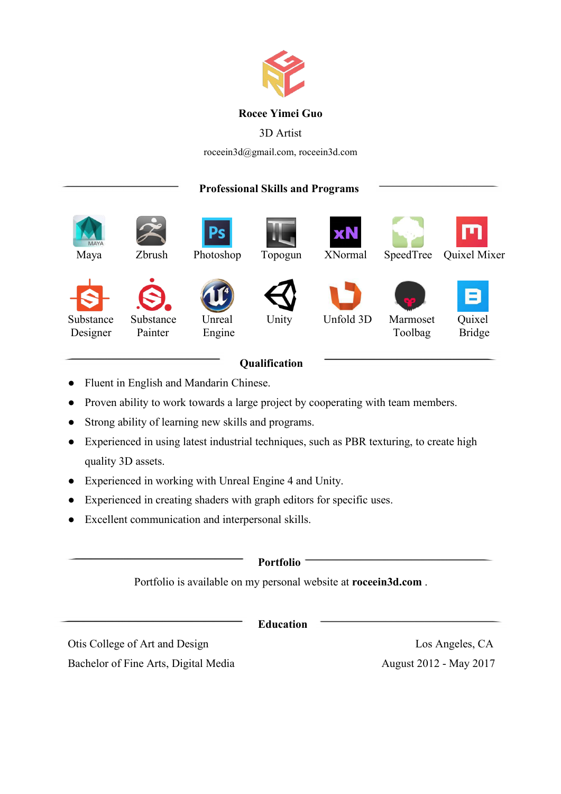

## **Rocee Yimei Guo**

# 3D Artist

roceein3d@gmail.com, roceein3d.com

# **Professional Skills and Programs**

|                                                                                                                                           | <b>MAYA</b><br>Maya | Zbrush       | Ρs<br>Photoshop | Topogun | <b>xN</b><br>XNormal | SpeedTree | Quixel Mixer |  |
|-------------------------------------------------------------------------------------------------------------------------------------------|---------------------|--------------|-----------------|---------|----------------------|-----------|--------------|--|
| Unity<br>Unfold 3D<br>Quixel<br>Substance<br>Substance<br>Unreal<br>Marmoset<br>Engine<br>Toolbag<br><b>Bridge</b><br>Designer<br>Painter |                     | $\mathbf{S}$ |                 |         |                      |           | B            |  |

# **Qualification**

- Fluent in English and Mandarin Chinese.
- Proven ability to work towards a large project by cooperating with team members.
- Strong ability of learning new skills and programs.
- Experienced in using latest industrial techniques, such as PBR texturing, to create high quality 3D assets.
- Experienced in working with Unreal Engine 4 and Unity.
- Experienced in creating shaders with graph editors for specific uses.
- Excellent communication and interpersonal skills.

| <b>Portfolio</b><br>Portfolio is available on my personal website at roceein3d.com. |                        |  |  |  |
|-------------------------------------------------------------------------------------|------------------------|--|--|--|
|                                                                                     |                        |  |  |  |
| Otis College of Art and Design                                                      | Los Angeles, CA        |  |  |  |
| Bachelor of Fine Arts, Digital Media                                                | August 2012 - May 2017 |  |  |  |